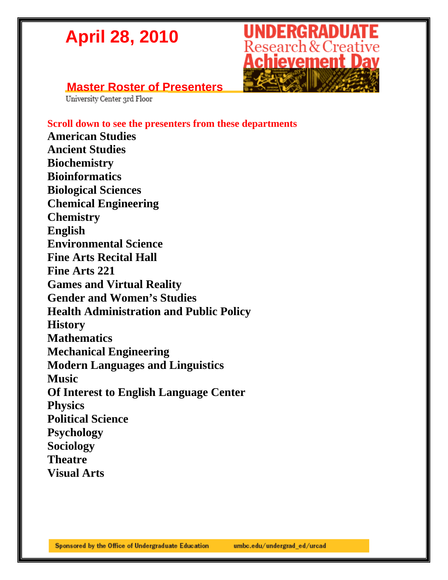# **UNDERGRADUATE**<br>Research & Creative<br>**Achievement Day**

### **Master Roster of Presenters**<br> **University Center 3rd Floor**

**Scroll down to see the presenters from these departments** 

**American Studies Ancient Studies Biochemistry Bioinformatics Biological Sciences Chemical Engineering Chemistry English Environmental Science Fine Arts Recital Hall Fine Arts 221 Games and Virtual Reality Gender and Women's Studies Health Administration and Public Policy History Mathematics Mechanical Engineering Modern Languages and Linguistics Music Of Interest to English Language Center Physics Political Science Psychology Sociology Theatre** 

**Visual Arts**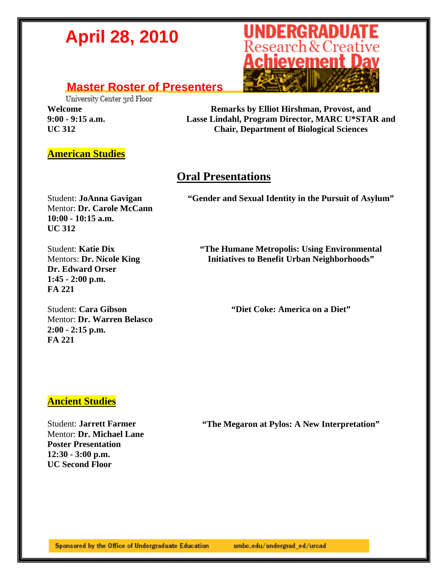### **Master Roster of Presenters**<br>University Center ard Floor

**Welcome 9:00 - 9:15 a.m. UC 312** 



**Remarks by Elliot Hirshman, Provost, and Lasse Lindahl, Program Director, MARC U\*STAR and Chair, Department of Biological Sciences** 

#### **American Studies**

#### **Oral Presentations**

**"Gender and Sexual Identity in the Pursuit of Asylum"** 

Student: **JoAnna Gavigan** Mentor: **Dr. Carole McCann 10:00 - 10:15 a.m. UC 312** 

> **"The Humane Metropolis: Using Environmental Initiatives to Benefit Urban Neighborhoods"**

Student: **Katie Dix** Mentors: **Dr. Nicole King Dr. Edward Orser 1:45 - 2:00 p.m. FA 221** 

Student: **Cara Gibson**  Mentor: **Dr. Warren Belasco 2:00 - 2:15 p.m. FA 221** 

**"Diet Coke: America on a Diet"** 

#### **Ancient Studies**

Student: **Jarrett Farmer** Mentor: **Dr. Michael Lane Poster Presentation 12:30 - 3:00 p.m. UC Second Floor** 

**"The Megaron at Pylos: A New Interpretation"**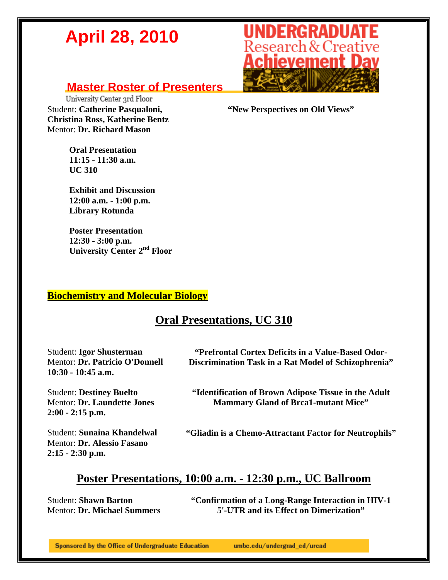#### **Master Roster of Presenters**

University Center 3rd Floor Student: **Catherine Pasqualoni, Christina Ross, Katherine Bentz**  Mentor: **Dr. Richard Mason** 

> **Oral Presentation 11:15 - 11:30 a.m. UC 310**

 **Exhibit and Discussion 12:00 a.m. - 1:00 p.m. Library Rotunda** 

 **Poster Presentation 12:30 - 3:00 p.m. University Center 2nd Floor** 

#### **Biochemistry and Molecular Biology**

#### **Oral Presentations, UC 310**

| <b>Student: Igor Shusterman</b><br>Mentor: Dr. Patricio O'Donnell<br>$10:30 - 10:45$ a.m. | "Prefrontal Cortex Deficits in a Value-Based Odor-<br>Discrimination Task in a Rat Model of Schizophrenia" |
|-------------------------------------------------------------------------------------------|------------------------------------------------------------------------------------------------------------|
| <b>Student: Destiney Buelto</b><br>Mentor: Dr. Laundette Jones<br>$2:00 - 2:15$ p.m.      | "Identification of Brown Adipose Tissue in the Adult"<br><b>Mammary Gland of Brea1-mutant Mice"</b>        |
| <b>Student: Sunaina Khandelwal</b><br>Mentor: Dr. Alessio Fasano                          | "Gliadin is a Chemo-Attractant Factor for Neutrophils"                                                     |

#### **Poster Presentations, 10:00 a.m. - 12:30 p.m., UC Ballroom**

Student: **Shawn Barton**  Mentor: **Dr. Michael Summers** 

**2:15 - 2:30 p.m.** 

**"Confirmation of a Long-Range Interaction in HIV-1 5'-UTR and its Effect on Dimerization"** 



**"New Perspectives on Old Views"**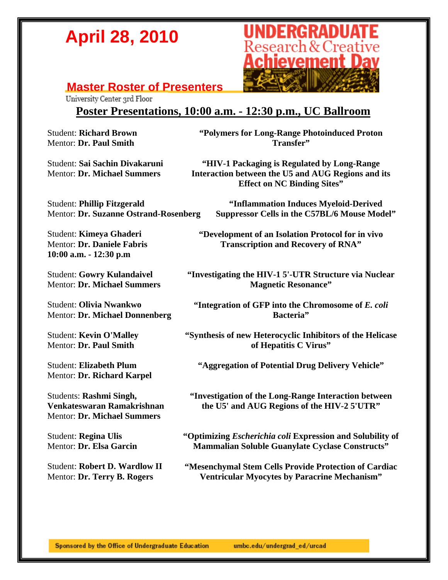# **UNDERGRADUATE**<br>Research & Creative **Achievement Dav**

### **Master Roster of Presenters**<br> **University Center 3rd Floor**

#### **Poster Presentations, 10:00 a.m. - 12:30 p.m., UC Ballroom**

Student: **Richard Brown**  Mentor: **Dr. Paul Smith** 

Student: **Sai Sachin Divakaruni**  Mentor: **Dr. Michael Summers** 

**"Polymers for Long-Range Photoinduced Proton Transfer"** 

**"HIV-1 Packaging is Regulated by Long-Range Interaction between the U5 and AUG Regions and its Effect on NC Binding Sites"** 

Student: **Phillip Fitzgerald**  Mentor: **Dr. Suzanne Ostrand-Rosenberg** 

Student: **Kimeya Ghaderi**  Mentor: **Dr. Daniele Fabris 10:00 a.m. - 12:30 p.m** 

Student: **Gowry Kulandaivel**  Mentor: **Dr. Michael Summers** 

Student: **Olivia Nwankwo**  Mentor: **Dr. Michael Donnenberg** 

Student: **Kevin O'Malley**  Mentor: **Dr. Paul Smith** 

Student: **Elizabeth Plum**  Mentor: **Dr. Richard Karpel** 

Students: **Rashmi Singh, Venkateswaran Ramakrishnan**  Mentor: **Dr. Michael Summers** 

Student: **Regina Ulis**  Mentor: **Dr. Elsa Garcin** 

Student: **Robert D. Wardlow II**  Mentor: **Dr. Terry B. Rogers** 

**"Inflammation Induces Myeloid-Derived** 

**Suppressor Cells in the C57BL/6 Mouse Model"** 

**"Development of an Isolation Protocol for in vivo Transcription and Recovery of RNA"** 

**"Investigating the HIV-1 5'-UTR Structure via Nuclear Magnetic Resonance"** 

**"Integration of GFP into the Chromosome of** *E. coli* **Bacteria"** 

**"Synthesis of new Heterocyclic Inhibitors of the Helicase of Hepatitis C Virus"** 

**"Aggregation of Potential Drug Delivery Vehicle"** 

**"Investigation of the Long-Range Interaction between the U5' and AUG Regions of the HIV-2 5'UTR"** 

**"Optimizing** *Escherichia coli* **Expression and Solubility of Mammalian Soluble Guanylate Cyclase Constructs"** 

**"Mesenchymal Stem Cells Provide Protection of Cardiac Ventricular Myocytes by Paracrine Mechanism"**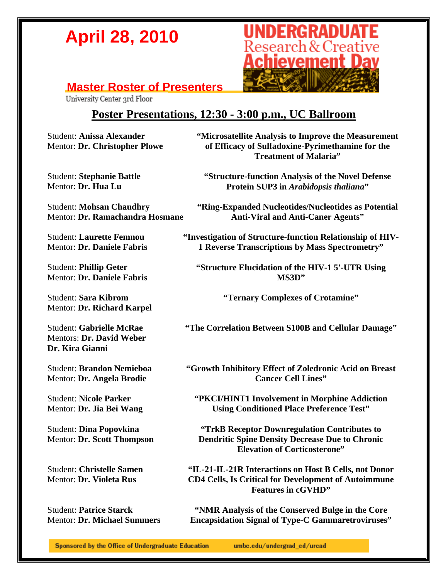# **UNDERGRADUATE**<br>Research & Creative **Achievement Dav**

### **Master Roster of Presenters**<br> **University Center 3rd Floor**

#### **Poster Presentations, 12:30 - 3:00 p.m., UC Ballroom**

Student: **Anissa Alexander**  Mentor: **Dr. Christopher Plowe** 

Student: **Stephanie Battle**  Mentor: **Dr. Hua Lu** 

Student: **Mohsan Chaudhry**  Mentor: **Dr. Ramachandra Hosmane** 

Student: **Laurette Femnou**  Mentor: **Dr. Daniele Fabris** 

Student: **Phillip Geter**  Mentor: **Dr. Daniele Fabris** 

Student: **Sara Kibrom**  Mentor: **Dr. Richard Karpel** 

Student: **Gabrielle McRae**  Mentors: **Dr. David Weber Dr. Kira Gianni** 

Student: **Brandon Nemieboa**  Mentor: **Dr. Angela Brodie** 

Student: **Nicole Parker**  Mentor: **Dr. Jia Bei Wang** 

Student: **Dina Popovkina**  Mentor: **Dr. Scott Thompson** 

Student: **Christelle Samen**  Mentor: **Dr. Violeta Rus** 

Student: **Patrice Starck**  Mentor: **Dr. Michael Summers**  **"Microsatellite Analysis to Improve the Measurement of Efficacy of Sulfadoxine-Pyrimethamine for the Treatment of Malaria"** 

**"Structure-function Analysis of the Novel Defense Protein SUP3 in** *Arabidopsis thaliana***"** 

**"Ring-Expanded Nucleotides/Nucleotides as Potential Anti-Viral and Anti-Caner Agents"** 

**"Investigation of Structure-function Relationship of HIV-1 Reverse Transcriptions by Mass Spectrometry"** 

**"Structure Elucidation of the HIV-1 5'-UTR Using MS3D"** 

**"Ternary Complexes of Crotamine"** 

**"The Correlation Between S100B and Cellular Damage"** 

**"Growth Inhibitory Effect of Zoledronic Acid on Breast Cancer Cell Lines"** 

**"PKCI/HINT1 Involvement in Morphine Addiction Using Conditioned Place Preference Test"** 

**"TrkB Receptor Downregulation Contributes to Dendritic Spine Density Decrease Due to Chronic Elevation of Corticosterone"** 

**"IL-21-IL-21R Interactions on Host B Cells, not Donor CD4 Cells, Is Critical for Development of Autoimmune Features in cGVHD"** 

**"NMR Analysis of the Conserved Bulge in the Core Encapsidation Signal of Type-C Gammaretroviruses"**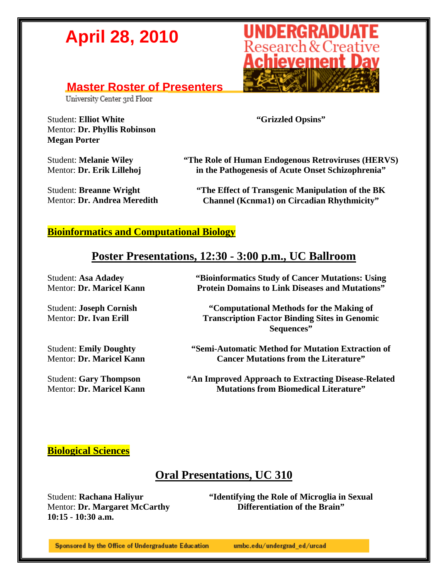#### **Master Roster of Presenters**

University Center 3rd Floor

Student: **Elliot White**  Mentor: **Dr. Phyllis Robinson Megan Porter** 

Student: **Melanie Wiley**  Mentor: **Dr. Erik Lillehoj** 

Student: **Breanne Wright**  Mentor: **Dr. Andrea Meredith**  **"Grizzled Opsins"** 

**"The Role of Human Endogenous Retroviruses (HERVS) in the Pathogenesis of Acute Onset Schizophrenia"** 

**"The Effect of Transgenic Manipulation of the BK Channel (Kcnma1) on Circadian Rhythmicity"** 

#### **Bioinformatics and Computational Biology**

#### **Poster Presentations, 12:30 - 3:00 p.m., UC Ballroom**

Student: **Asa Adadey**  Mentor: **Dr. Maricel Kann** 

Student: **Joseph Cornish**  Mentor: **Dr. Ivan Erill** 

Student: **Emily Doughty**  Mentor: **Dr. Maricel Kann** 

Student: **Gary Thompson**  Mentor: **Dr. Maricel Kann**  **"Bioinformatics Study of Cancer Mutations: Using Protein Domains to Link Diseases and Mutations"** 

**"Computational Methods for the Making of Transcription Factor Binding Sites in Genomic Sequences"** 

**"Semi-Automatic Method for Mutation Extraction of Cancer Mutations from the Literature"** 

**"An Improved Approach to Extracting Disease-Related Mutations from Biomedical Literature"** 

#### **Biological Sciences**

#### **Oral Presentations, UC 310**

Student: **Rachana Haliyur**  Mentor: **Dr. Margaret McCarthy 10:15 - 10:30 a.m.** 

**"Identifying the Role of Microglia in Sexual Differentiation of the Brain"** 

Sponsored by the Office of Undergraduate Education

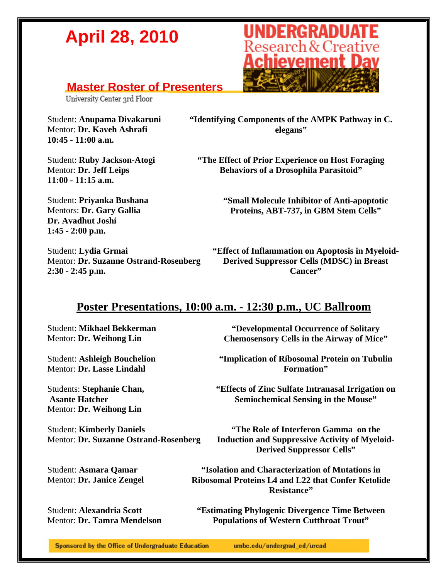#### **Master Roster of Presenters**

University Center 3rd Floor

Student: **Anupama Divakaruni**  Mentor: **Dr. Kaveh Ashrafi 10:45 - 11:00 a.m.** 

Student: **Ruby Jackson-Atogi**  Mentor: **Dr. Jeff Leips 11:00 - 11:15 a.m.** 



**"Identifying Components of the AMPK Pathway in C. elegans"** 

**"The Effect of Prior Experience on Host Foraging Behaviors of a Drosophila Parasitoid"** 

**"Small Molecule Inhibitor of Anti-apoptotic Proteins, ABT-737, in GBM Stem Cells"** 

Student: **Priyanka Bushana**  Mentors: **Dr. Gary Gallia Dr. Avadhut Joshi 1:45 - 2:00 p.m.** 

Student: **Lydia Grmai** Mentor: **Dr. Suzanne Ostrand-Rosenberg 2:30 - 2:45 p.m.** 

**"Effect of Inflammation on Apoptosis in Myeloid-Derived Suppressor Cells (MDSC) in Breast Cancer"** 

#### **Poster Presentations, 10:00 a.m. - 12:30 p.m., UC Ballroom**

Student: **Mikhael Bekkerman**  Mentor: **Dr. Weihong Lin** 

Student: **Ashleigh Bouchelion**  Mentor: **Dr. Lasse Lindahl** 

Students: **Stephanie Chan, Asante Hatcher**  Mentor: **Dr. Weihong Lin** 

Student: **Kimberly Daniels**  Mentor: **Dr. Suzanne Ostrand-Rosenberg** 

Student: **Asmara Qamar**  Mentor: **Dr. Janice Zengel** 

Student: **Alexandria Scott**  Mentor: **Dr. Tamra Mendelson** 

**"Developmental Occurrence of Solitary Chemosensory Cells in the Airway of Mice"** 

**"Implication of Ribosomal Protein on Tubulin Formation"** 

**"Effects of Zinc Sulfate Intranasal Irrigation on Semiochemical Sensing in the Mouse"** 

**"The Role of Interferon Gamma on the Induction and Suppressive Activity of Myeloid-Derived Suppressor Cells"** 

**"Isolation and Characterization of Mutations in Ribosomal Proteins L4 and L22 that Confer Ketolide Resistance"** 

**"Estimating Phylogenic Divergence Time Between Populations of Western Cutthroat Trout"**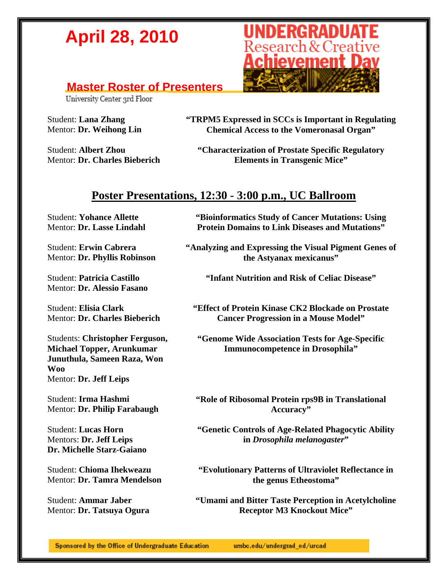#### **Master Roster of Presenters**

University Center 3rd Floor

Student: **Lana Zhang**  Mentor: **Dr. Weihong Lin** 

Student: **Albert Zhou**  Mentor: **Dr. Charles Bieberich**  **"TRPM5 Expressed in SCCs is Important in Regulating Chemical Access to the Vomeronasal Organ"** 

**"Characterization of Prostate Specific Regulatory Elements in Transgenic Mice"** 

#### **Poster Presentations, 12:30 - 3:00 p.m., UC Ballroom**

Student: **Yohance Allette**  Mentor: **Dr. Lasse Lindahl** 

Student: **Erwin Cabrera**  Mentor: **Dr. Phyllis Robinson** 

Student: **Patricia Castillo**  Mentor: **Dr. Alessio Fasano** 

Student: **Elisia Clark**  Mentor: **Dr. Charles Bieberich** 

Students: **Christopher Ferguson, Michael Topper, Arunkumar Junuthula, Sameen Raza, Won Woo**  Mentor: **Dr. Jeff Leips** 

Student: **Irma Hashmi**  Mentor: **Dr. Philip Farabaugh** 

Student: **Lucas Horn**  Mentors: **Dr. Jeff Leips Dr. Michelle Starz-Gaiano** 

Student: **Chioma Ihekweazu**  Mentor: **Dr. Tamra Mendelson** 

Student: **Ammar Jaber**  Mentor: **Dr. Tatsuya Ogura**  **"Bioinformatics Study of Cancer Mutations: Using Protein Domains to Link Diseases and Mutations"** 

**"Analyzing and Expressing the Visual Pigment Genes of the Astyanax mexicanus"** 

**"Infant Nutrition and Risk of Celiac Disease"** 

**"Effect of Protein Kinase CK2 Blockade on Prostate Cancer Progression in a Mouse Model"** 

**"Genome Wide Association Tests for Age-Specific Immunocompetence in Drosophila"** 

**"Role of Ribosomal Protein rps9B in Translational Accuracy"** 

**"Genetic Controls of Age-Related Phagocytic Ability in** *Drosophila melanogaster***"** 

**"Evolutionary Patterns of Ultraviolet Reflectance in the genus Etheostoma"** 

**"Umami and Bitter Taste Perception in Acetylcholine Receptor M3 Knockout Mice"** 

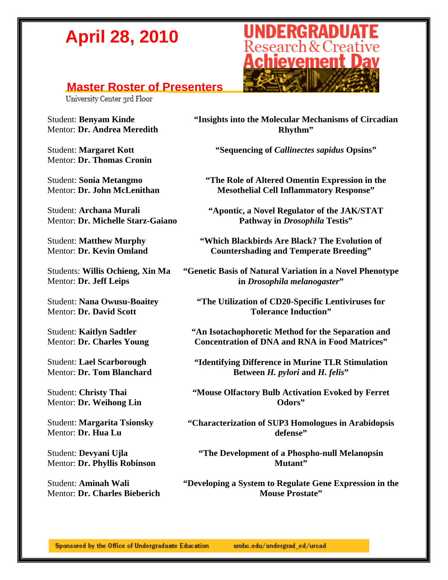### **Master Roster of Presenters**<br> **University Center 3rd Floor**

Student: **Benyam Kinde**  Mentor: **Dr. Andrea Meredith** 

Student: **Margaret Kott**  Mentor: **Dr. Thomas Cronin** 

Student: **Sonia Metangmo**  Mentor: **Dr. John McLenithan**

Student: **Archana Murali**  Mentor: **Dr. Michelle Starz-Gaiano** 

Student: **Matthew Murphy**  Mentor: **Dr. Kevin Omland** 

Students: **Willis Ochieng, Xin Ma**  Mentor: **Dr. Jeff Leips** 

Student: **Nana Owusu-Boaitey**  Mentor: **Dr. David Scott** 

Student: **Kaitlyn Sadtler**  Mentor: **Dr. Charles Young** 

Student: **Lael Scarborough**  Mentor: **Dr. Tom Blanchard** 

Student: **Christy Thai**  Mentor: **Dr. Weihong Lin** 

Student: **Margarita Tsionsky**  Mentor: **Dr. Hua Lu** 

Student: **Devyani Ujla**  Mentor: **Dr. Phyllis Robinson** 

Student: **Aminah Wali**  Mentor: **Dr. Charles Bieberich** 



**"Insights into the Molecular Mechanisms of Circadian Rhythm"** 

**"Sequencing of** *Callinectes sapidus* **Opsins"** 

**"The Role of Altered Omentin Expression in the Mesothelial Cell Inflammatory Response"** 

**"Apontic, a Novel Regulator of the JAK/STAT Pathway in** *Drosophila* **Testis"** 

**"Which Blackbirds Are Black? The Evolution of Countershading and Temperate Breeding"** 

**"Genetic Basis of Natural Variation in a Novel Phenotype in** *Drosophila melanogaster***"** 

**"The Utilization of CD20-Specific Lentiviruses for Tolerance Induction"** 

**"An Isotachophoretic Method for the Separation and Concentration of DNA and RNA in Food Matrices"** 

**"Identifying Difference in Murine TLR Stimulation Between** *H. pylori* **and** *H. felis***"** 

**"Mouse Olfactory Bulb Activation Evoked by Ferret Odors"** 

**"Characterization of SUP3 Homologues in Arabidopsis defense"** 

**"The Development of a Phospho-null Melanopsin Mutant"** 

**"Developing a System to Regulate Gene Expression in the Mouse Prostate"**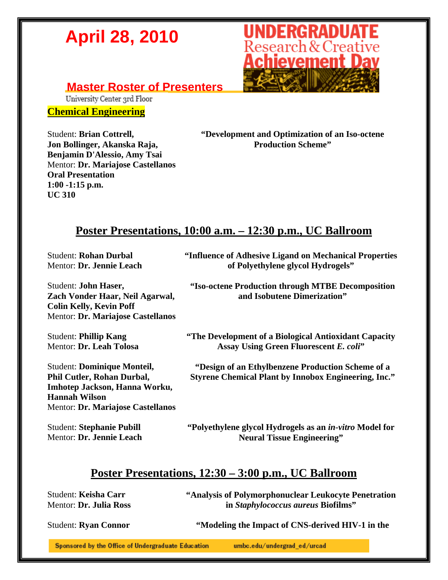

### **Master Roster of Presenters**<br> **University Center 3rd Floor**

#### **Chemical Engineering**

Student: **Brian Cottrell, Jon Bollinger, Akanska Raja, Benjamin D'Alessio, Amy Tsai**  Mentor: **Dr. Mariajose Castellanos Oral Presentation 1:00 -1:15 p.m. UC 310** 

**"Development and Optimization of an Iso-octene Production Scheme"** 

#### **Poster Presentations, 10:00 a.m. – 12:30 p.m., UC Ballroom**

Student: **Rohan Durbal**  Mentor: **Dr. Jennie Leach** 

Student: **John Haser, Zach Vonder Haar, Neil Agarwal, Colin Kelly, Kevin Poff**  Mentor: **Dr. Mariajose Castellanos** 

Student: **Phillip Kang**  Mentor: **Dr. Leah Tolosa** 

Student: **Dominique Monteil, Phil Cutler, Rohan Durbal, Imhotep Jackson, Hanna Worku, Hannah Wilson**  Mentor: **Dr. Mariajose Castellanos** 

Student: **Stephanie Pubill**  Mentor: **Dr. Jennie Leach**  **"Influence of Adhesive Ligand on Mechanical Properties of Polyethylene glycol Hydrogels"** 

**"Iso-octene Production through MTBE Decomposition and Isobutene Dimerization"** 

**"The Development of a Biological Antioxidant Capacity Assay Using Green Fluorescent** *E. coli***"** 

**"Design of an Ethylbenzene Production Scheme of a Styrene Chemical Plant by Innobox Engineering, Inc."** 

**"Polyethylene glycol Hydrogels as an** *in-vitro* **Model for Neural Tissue Engineering"** 

#### **Poster Presentations, 12:30 – 3:00 p.m., UC Ballroom**

Student: **Keisha Carr**  Mentor: **Dr. Julia Ross**  **"Analysis of Polymorphonuclear Leukocyte Penetration in** *Staphylococcus aureus* **Biofilms"** 

Student: **Ryan Connor** "Modeling the Impact of CNS-derived HIV-1 in the

Sponsored by the Office of Undergraduate Education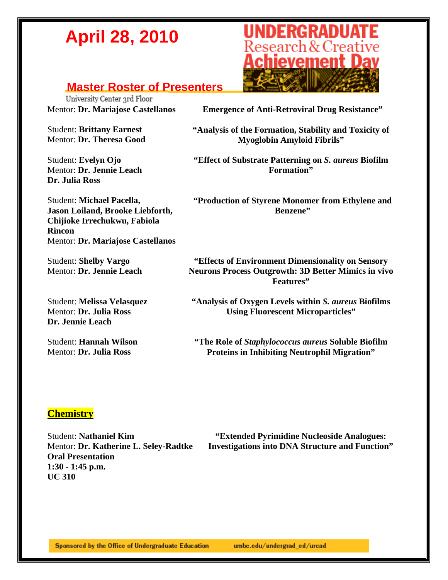### **Master Roster of Presenters**<br> **University Center 3rd Floor**

Student: **Brittany Earnest**  Mentor: **Dr. Theresa Good** 

Student: **Evelyn Ojo**  Mentor: **Dr. Jennie Leach Dr. Julia Ross** 

**UNDERGRADUATE**<br>Research & Creative<br>**Achievement Day** 

Mentor: **Dr. Mariajose Castellanos Emergence of Anti-Retroviral Drug Resistance"** 

**"Analysis of the Formation, Stability and Toxicity of Myoglobin Amyloid Fibrils"** 

**"Effect of Substrate Patterning on** *S. aureus* **Biofilm Formation"** 

**"Production of Styrene Monomer from Ethylene and Benzene"** 

Student: **Michael Pacella, Jason Loiland, Brooke Liebforth, Chijioke Irrechukwu, Fabiola Rincon**  Mentor: **Dr. Mariajose Castellanos** 

Student: **Shelby Vargo**  Mentor: **Dr. Jennie Leach** 

Student: **Melissa Velasquez**  Mentor: **Dr. Julia Ross Dr. Jennie Leach** 

Student: **Hannah Wilson**  Mentor: **Dr. Julia Ross** 

**"Effects of Environment Dimensionality on Sensory Neurons Process Outgrowth: 3D Better Mimics in vivo Features"** 

**"Analysis of Oxygen Levels within** *S. aureus* **Biofilms Using Fluorescent Microparticles"** 

**"The Role of** *Staphylococcus aureus* **Soluble Biofilm Proteins in Inhibiting Neutrophil Migration"** 

#### **Chemistry**

Student: **Nathaniel Kim**  Mentor: **Dr. Katherine L. Seley-Radtke Oral Presentation 1:30 - 1:45 p.m. UC 310** 

**"Extended Pyrimidine Nucleoside Analogues: Investigations into DNA Structure and Function"**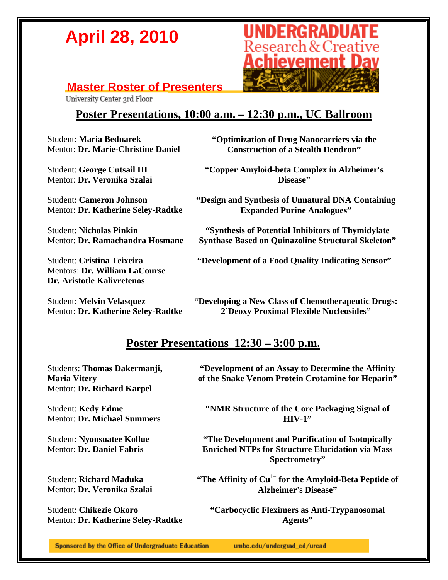# **UNDERGRADUATE**<br>Research & Creative Achievement Dav

### **Master Roster of Presenters**<br> **University Center 3rd Floor**

#### **Poster Presentations, 10:00 a.m. – 12:30 p.m., UC Ballroom**

Student: **Maria Bednarek**  Mentor: **Dr. Marie-Christine Daniel** 

Student: **George Cutsail III**  Mentor: **Dr. Veronika Szalai** 

Student: **Cameron Johnson**  Mentor: **Dr. Katherine Seley-Radtke** 

Student: **Nicholas Pinkin**  Mentor: **Dr. Ramachandra Hosmane** 

Student: **Cristina Teixeira**  Mentors: **Dr. William LaCourse Dr. Aristotle Kalivretenos** 

Student: **Melvin Velasquez**  Mentor: **Dr. Katherine Seley-Radtke**  **"Optimization of Drug Nanocarriers via the Construction of a Stealth Dendron"** 

**"Copper Amyloid-beta Complex in Alzheimer's Disease"** 

**"Design and Synthesis of Unnatural DNA Containing Expanded Purine Analogues"** 

**"Synthesis of Potential Inhibitors of Thymidylate Synthase Based on Quinazoline Structural Skeleton"** 

**"Development of a Food Quality Indicating Sensor"** 

**"Developing a New Class of Chemotherapeutic Drugs: 2`Deoxy Proximal Flexible Nucleosides"** 

#### **Poster Presentations 12:30 – 3:00 p.m.**

Students: **Thomas Dakermanji, Maria Vitery**  Mentor: **Dr. Richard Karpel** 

Student: **Kedy Edme**  Mentor: **Dr. Michael Summers** 

Student: **Nyonsuatee Kollue**  Mentor: **Dr. Daniel Fabris** 

Student: **Richard Maduka**  Mentor: **Dr. Veronika Szalai** 

Student: **Chikezie Okoro**  Mentor: **Dr. Katherine Seley-Radtke** 

**"Development of an Assay to Determine the Affinity of the Snake Venom Protein Crotamine for Heparin"** 

**"NMR Structure of the Core Packaging Signal of HIV-1"** 

**"The Development and Purification of Isotopically Enriched NTPs for Structure Elucidation via Mass Spectrometry"** 

**"The Affinity of Cu1+ for the Amyloid-Beta Peptide of Alzheimer's Disease"** 

**"Carbocyclic Fleximers as Anti-Trypanosomal Agents"**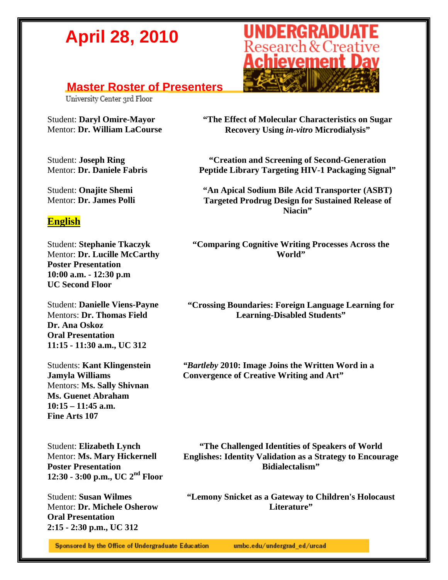### **Master Roster of Presenters**<br> **University Center 3rd Floor**

Student: **Daryl Omire-Mayor**  Mentor: **Dr. William LaCourse** 

Student: **Joseph Ring**  Mentor: **Dr. Daniele Fabris** 

Student: **Onajite Shemi**  Mentor: **Dr. James Polli** 

#### **English**

Student: **Stephanie Tkaczyk**  Mentor: **Dr. Lucille McCarthy Poster Presentation 10:00 a.m. - 12:30 p.m UC Second Floor** 

Student: **Danielle Viens-Payne**  Mentors: **Dr. Thomas Field Dr. Ana Oskoz Oral Presentation 11:15 - 11:30 a.m., UC 312** 

Students: **Kant Klingenstein Jamyla Williams**  Mentors: **Ms. Sally Shivnan Ms. Guenet Abraham 10:15 – 11:45 a.m. Fine Arts 107** 

Student: **Elizabeth Lynch**  Mentor: **Ms. Mary Hickernell Poster Presentation 12:30 - 3:00 p.m., UC 2nd Floor** 

Student: **Susan Wilmes**  Mentor: **Dr. Michele Osherow Oral Presentation 2:15 - 2:30 p.m., UC 312** 



**"The Effect of Molecular Characteristics on Sugar Recovery Using** *in-vitro* **Microdialysis"** 

**"Creation and Screening of Second-Generation Peptide Library Targeting HIV-1 Packaging Signal"** 

**"An Apical Sodium Bile Acid Transporter (ASBT) Targeted Prodrug Design for Sustained Release of Niacin"** 

**"Comparing Cognitive Writing Processes Across the World"** 

**"Crossing Boundaries: Foreign Language Learning for Learning-Disabled Students"** 

*"Bartleby* **2010: Image Joins the Written Word in a Convergence of Creative Writing and Art"** 

**"The Challenged Identities of Speakers of World Englishes: Identity Validation as a Strategy to Encourage Bidialectalism"** 

**"Lemony Snicket as a Gateway to Children's Holocaust Literature"** 

Sponsored by the Office of Undergraduate Education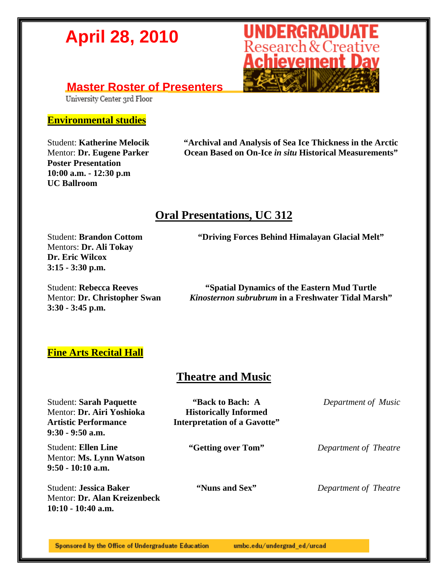### **Master Roster of Presenters**<br> **University Center 3rd Floor**

#### **Environmental studies**

Student: **Katherine Melocik**  Mentor: **Dr. Eugene Parker Poster Presentation 10:00 a.m. - 12:30 p.m UC Ballroom** 

**"Archival and Analysis of Sea Ice Thickness in the Arctic Ocean Based on On-Ice** *in situ* **Historical Measurements"** 

#### **Oral Presentations, UC 312**

Student: **Brandon Cottom**  Mentors: **Dr. Ali Tokay Dr. Eric Wilcox 3:15 - 3:30 p.m.** 

Student: **Rebecca Reeves**  Mentor: **Dr. Christopher Swan 3:30 - 3:45 p.m.** 

**"Driving Forces Behind Himalayan Glacial Melt"** 

**"Spatial Dynamics of the Eastern Mud Turtle**  *Kinosternon subrubrum* **in a Freshwater Tidal Marsh"** 

#### **Fine Arts Recital Hall**

#### **Theatre and Music**

Student: **Sarah Paquette**  Mentor: **Dr. Airi Yoshioka Artistic Performance 9:30 - 9:50 a.m. "Back to Bach: A Historically Informed Interpretation of a Gavotte"** *Department of Music* Student: **Ellen Line**  Mentor: **Ms. Lynn Watson 9:50 - 10:10 a.m. "Getting over Tom"** *Department of Theatre* Student: **Jessica Baker**  Mentor: **Dr. Alan Kreizenbeck 10:10 - 10:40 a.m. "Nuns and Sex"** *Department of Theatre*

Sponsored by the Office of Undergraduate Education umbc.edu/undergrad\_ed/urcad

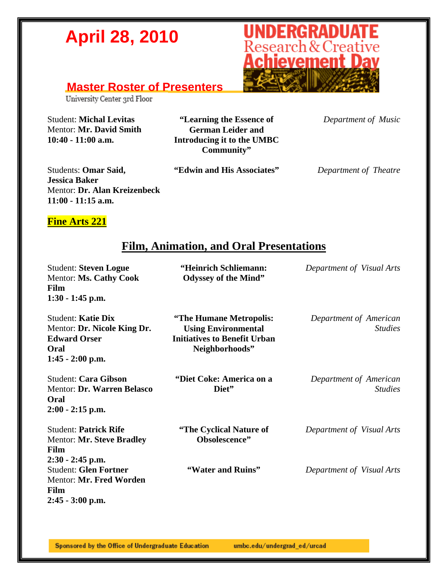

#### **Master Roster of Presenters**

University Center 3rd Floor

Student: **Michal Levitas**  Mentor: **Mr. David Smith 10:40 - 11:00 a.m.** 

**"Learning the Essence of German Leider and Introducing it to the UMBC Community"**

*Department of Music*

Students: **Omar Said, Jessica Baker**  Mentor: **Dr. Alan Kreizenbeck 11:00 - 11:15 a.m.** 

**"Edwin and His Associates"** *Department of Theatre*

#### **Fine Arts 221**

#### **Film, Animation, and Oral Presentations**

Student: **Steven Logue**  Mentor: **Ms. Cathy Cook Film 1:30 - 1:45 p.m. "Heinrich Schliemann: Odyssey of the Mind"** *Department of Visual Arts* Student: **Katie Dix**  Mentor: **Dr. Nicole King Dr. Edward Orser Oral 1:45 - 2:00 p.m. "The Humane Metropolis: Using Environmental Initiatives to Benefit Urban Neighborhoods"** *Department of American Studies* Student: **Cara Gibson**  Mentor: **Dr. Warren Belasco Oral 2:00 - 2:15 p.m. "Diet Coke: America on a Diet"** *Department of American Studies* Student: **Patrick Rife**  Mentor: **Mr. Steve Bradley Film 2:30 - 2:45 p.m. "The Cyclical Nature of Obsolescence"** *Department of Visual Arts* Student: **Glen Fortner**  Mentor: **Mr. Fred Worden Film 2:45 - 3:00 p.m. "Water and Ruins"** *Department of Visual Arts*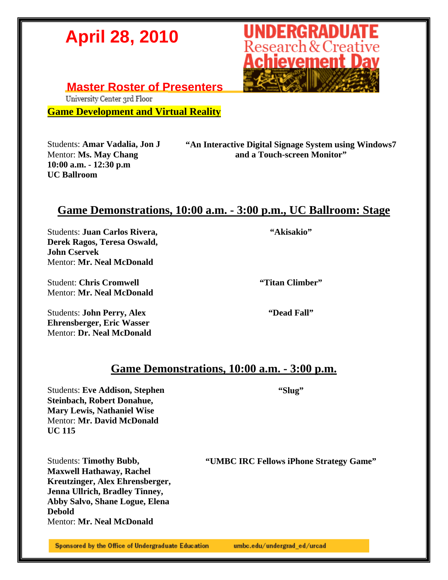**Master Roster of Presenters**<br> **University Center 3rd Floor** 

**Game Development and Virtual Reality** 

Students: **Amar Vadalia, Jon J**  Mentor: **Ms. May Chang 10:00 a.m. - 12:30 p.m UC Ballroom** 

**"An Interactive Digital Signage System using Windows7 and a Touch-screen Monitor"** 

#### **Game Demonstrations, 10:00 a.m. - 3:00 p.m., UC Ballroom: Stage**

Students: **Juan Carlos Rivera, Derek Ragos, Teresa Oswald, John Cservek**  Mentor: **Mr. Neal McDonald** 

Student: **Chris Cromwell**  Mentor: **Mr. Neal McDonald** 

Students: **John Perry, Alex Ehrensberger, Eric Wasser**  Mentor: **Dr. Neal McDonald**  **"Titan Climber"** 

**"Dead Fall"** 

#### **Game Demonstrations, 10:00 a.m. - 3:00 p.m.**

Students: **Eve Addison, Stephen Steinbach, Robert Donahue, Mary Lewis, Nathaniel Wise**  Mentor: **Mr. David McDonald UC 115** 

Students: **Timothy Bubb, Maxwell Hathaway, Rachel Kreutzinger, Alex Ehrensberger, Jenna Ullrich, Bradley Tinney, Abby Salvo, Shane Logue, Elena Debold**  Mentor: **Mr. Neal McDonald** 

**"UMBC IRC Fellows iPhone Strategy Game"** 

**"Slug"** 

**"Akisakio"** 

Sponsored by the Office of Undergraduate Education

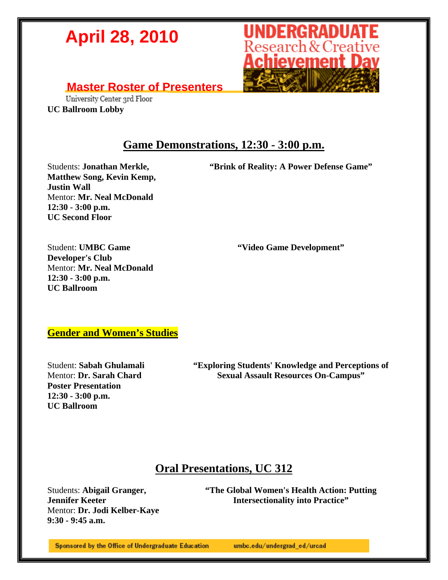

#### **Master Roster of Presenters**

University Center 3rd Floor **UC Ballroom Lobby** 

#### **Game Demonstrations, 12:30 - 3:00 p.m.**

Students: **Jonathan Merkle, Matthew Song, Kevin Kemp, Justin Wall**  Mentor: **Mr. Neal McDonald 12:30 - 3:00 p.m. UC Second Floor** 

**"Brink of Reality: A Power Defense Game"** 

**"Video Game Development"** 

Student: **UMBC Game Developer's Club**  Mentor: **Mr. Neal McDonald 12:30 - 3:00 p.m. UC Ballroom** 

**Gender and Women's Studies**

Student: **Sabah Ghulamali**  Mentor: **Dr. Sarah Chard Poster Presentation 12:30 - 3:00 p.m. UC Ballroom** 

**"Exploring Students' Knowledge and Perceptions of Sexual Assault Resources On-Campus"** 

#### **Oral Presentations, UC 312**

Students: **Abigail Granger, Jennifer Keeter** Mentor: **Dr. Jodi Kelber-Kaye 9:30 - 9:45 a.m.** 

**"The Global Women's Health Action: Putting Intersectionality into Practice"** 

Sponsored by the Office of Undergraduate Education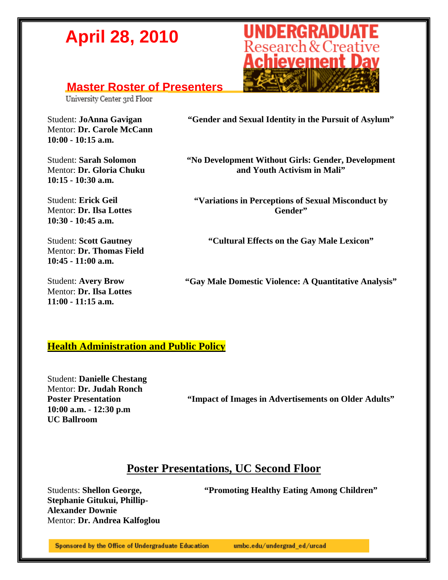#### **Master Roster of Presenters**

University Center 3rd Floor

Student: **JoAnna Gavigan** Mentor: **Dr. Carole McCann 10:00 - 10:15 a.m.** 

Student: **Sarah Solomon**  Mentor: **Dr. Gloria Chuku 10:15 - 10:30 a.m.** 

Student: **Erick Geil**  Mentor: **Dr. Ilsa Lottes 10:30 - 10:45 a.m.** 

Student: **Scott Gautney**  Mentor: **Dr. Thomas Field 10:45 - 11:00 a.m.** 

Student: **Avery Brow**  Mentor: **Dr. Ilsa Lottes 11:00 - 11:15 a.m.** 



**"No Development Without Girls: Gender, Development and Youth Activism in Mali"** 

**"Variations in Perceptions of Sexual Misconduct by Gender"** 

**"Cultural Effects on the Gay Male Lexicon"** 

**"Gay Male Domestic Violence: A Quantitative Analysis"** 

#### **Health Administration and Public Policy**

Student: **Danielle Chestang**  Mentor: **Dr. Judah Ronch Poster Presentation 10:00 a.m. - 12:30 p.m UC Ballroom** 

**"Impact of Images in Advertisements on Older Adults"** 

#### **Poster Presentations, UC Second Floor**

**"Promoting Healthy Eating Among Children"** 

Students: **Shellon George, Stephanie Gitukui, Phillip-Alexander Downie**  Mentor: **Dr. Andrea Kalfoglou** 

Sponsored by the Office of Undergraduate Education

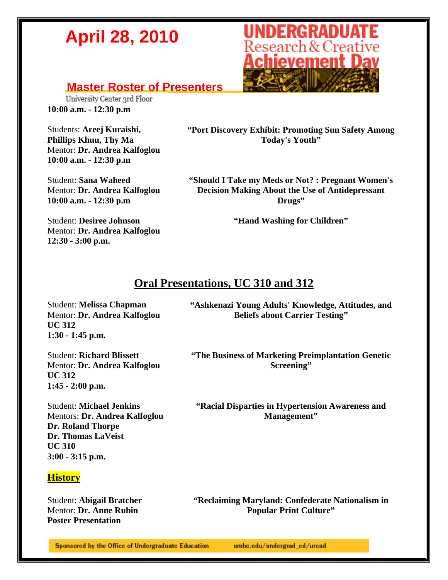#### **Master Roster of Presenters**

University Center 3rd Floor **10:00 a.m. - 12:30 p.m** 

Students: **Areej Kuraishi, Phillips Khuu, Thy Ma**  Mentor: **Dr. Andrea Kalfoglou 10:00 a.m. - 12:30 p.m** 

Student: **Sana Waheed**  Mentor: **Dr. Andrea Kalfoglou 10:00 a.m. - 12:30 p.m** 

Student: **Desiree Johnson**  Mentor: **Dr. Andrea Kalfoglou** 

**12:30 - 3:00 p.m.**

**"Port Discovery Exhibit: Promoting Sun Safety Among Today's Youth"** 

**"Should I Take my Meds or Not? : Pregnant Women's Decision Making About the Use of Antidepressant Drugs"** 

**"Hand Washing for Children"** 

## **Oral Presentations, UC 310 and 312**

Student: **Melissa Chapman**  Mentor: **Dr. Andrea Kalfoglou UC 312 1:30 - 1:45 p.m.** 

**"Ashkenazi Young Adults' Knowledge, Attitudes, and Beliefs about Carrier Testing"** 

Student: **Richard Blissett**  Mentor: **Dr. Andrea Kalfoglou UC 312 1:45 - 2:00 p.m.** 

Student: **Michael Jenkins** Mentors: **Dr. Andrea Kalfoglou Dr. Roland Thorpe Dr. Thomas LaVeist UC 310 3:00 - 3:15 p.m.** 

#### **History**

Student: **Abigail Bratcher**  Mentor: **Dr. Anne Rubin Poster Presentation** 

**"The Business of Marketing Preimplantation Genetic Screening"** 

**"Racial Disparties in Hypertension Awareness and Management"** 

**"Reclaiming Maryland: Confederate Nationalism in Popular Print Culture"** 

Sponsored by the Office of Undergraduate Education

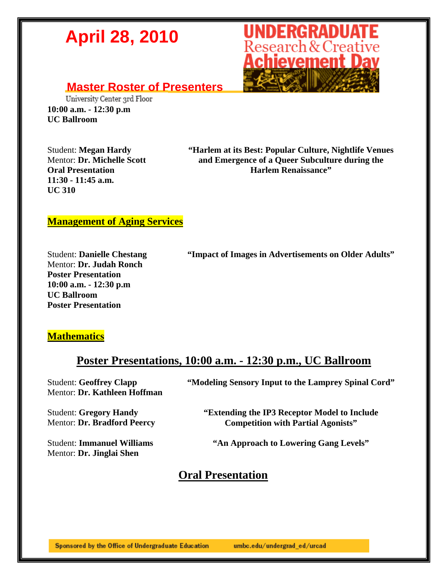

#### **Master Roster of Presenters**

University Center 3rd Floor **10:00 a.m. - 12:30 p.m UC Ballroom** 

Student: **Megan Hardy**  Mentor: **Dr. Michelle Scott Oral Presentation 11:30 - 11:45 a.m. UC 310** 

**"Harlem at its Best: Popular Culture, Nightlife Venues and Emergence of a Queer Subculture during the Harlem Renaissance"** 

#### **Management of Aging Services**

Student: **Danielle Chestang**  Mentor: **Dr. Judah Ronch Poster Presentation 10:00 a.m. - 12:30 p.m UC Ballroom Poster Presentation** 

**"Impact of Images in Advertisements on Older Adults"** 

#### **Mathematics**

#### **Poster Presentations, 10:00 a.m. - 12:30 p.m., UC Ballroom**

Student: **Geoffrey Clapp**  Mentor: **Dr. Kathleen Hoffman**  **"Modeling Sensory Input to the Lamprey Spinal Cord"** 

Student: **Gregory Handy**  Mentor: **Dr. Bradford Peercy** 

Mentor: **Dr. Jinglai Shen** 

Student: **Immanuel Williams** 

**"Extending the IP3 Receptor Model to Include** 

**"An Approach to Lowering Gang Levels"** 

**Competition with Partial Agonists"** 

#### **Oral Presentation**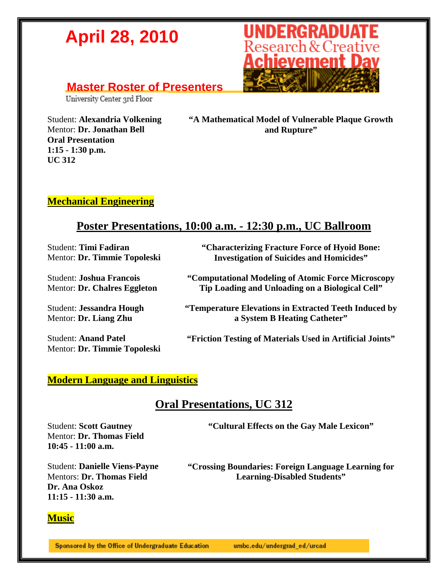#### **Master Roster of Presenters**

University Center 3rd Floor

Student: **Alexandria Volkening**  Mentor: **Dr. Jonathan Bell** 

**Oral Presentation 1:15 - 1:30 p.m.** 

**UC 312** 



**"A Mathematical Model of Vulnerable Plaque Growth and Rupture"** 

#### **Mechanical Engineering**

#### **Poster Presentations, 10:00 a.m. - 12:30 p.m., UC Ballroom**

Student: **Timi Fadiran**  Mentor: **Dr. Timmie Topoleski** 

Student: **Joshua Francois**  Mentor: **Dr. Chalres Eggleton** 

Student: **Jessandra Hough**  Mentor: **Dr. Liang Zhu** 

Student: **Anand Patel**  Mentor: **Dr. Timmie Topoleski**  **"Characterizing Fracture Force of Hyoid Bone: Investigation of Suicides and Homicides"** 

**"Computational Modeling of Atomic Force Microscopy Tip Loading and Unloading on a Biological Cell"** 

**"Temperature Elevations in Extracted Teeth Induced by a System B Heating Catheter"** 

**"Friction Testing of Materials Used in Artificial Joints"** 

#### **Modern Language and Linguistics**

#### **Oral Presentations, UC 312**

Student: **Scott Gautney**  Mentor: **Dr. Thomas Field 10:45 - 11:00 a.m.** 

**"Cultural Effects on the Gay Male Lexicon"** 

Student: **Danielle Viens-Payne**  Mentors: **Dr. Thomas Field Dr. Ana Oskoz 11:15 - 11:30 a.m.** 

**"Crossing Boundaries: Foreign Language Learning for Learning-Disabled Students"** 

#### **Music**

Sponsored by the Office of Undergraduate Education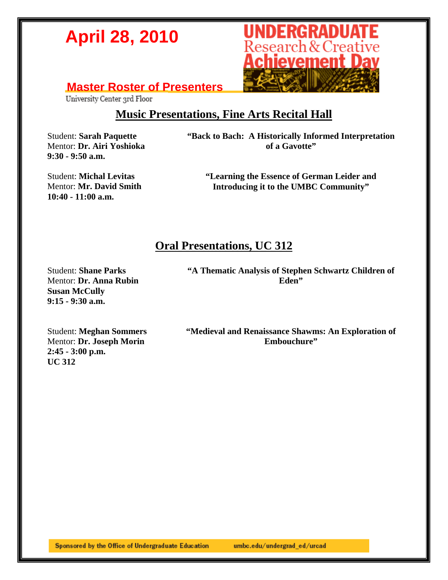

### **Master Roster of Presenters**<br> **University Center 3rd Floor**

#### **Music Presentations, Fine Arts Recital Hall**

Student: **Sarah Paquette** Mentor: **Dr. Airi Yoshioka 9:30 - 9:50 a.m.** 

**"Back to Bach: A Historically Informed Interpretation of a Gavotte"** 

Student: **Michal Levitas**  Mentor: **Mr. David Smith 10:40 - 11:00 a.m.** 

**"Learning the Essence of German Leider and Introducing it to the UMBC Community"** 

#### **Oral Presentations, UC 312**

Student: **Shane Parks**  Mentor: **Dr. Anna Rubin Susan McCully 9:15 - 9:30 a.m.** 

**"A Thematic Analysis of Stephen Schwartz Children of Eden"** 

Student: **Meghan Sommers**  Mentor: **Dr. Joseph Morin 2:45 - 3:00 p.m. UC 312** 

**"Medieval and Renaissance Shawms: An Exploration of Embouchure"**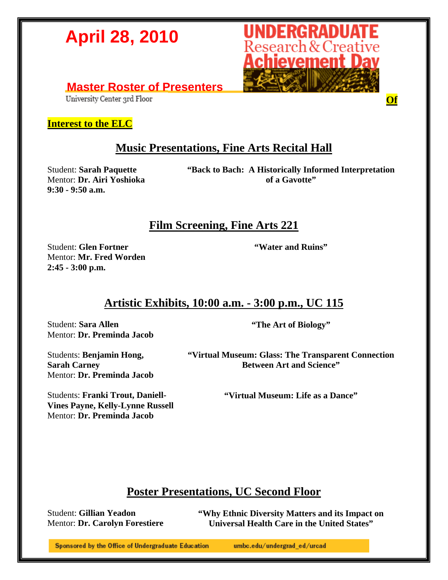

### **Master Roster of Presenters**

#### **Interest to the ELC**

#### **Music Presentations, Fine Arts Recital Hall**

Student: **Sarah Paquette** Mentor: **Dr. Airi Yoshioka 9:30 - 9:50 a.m.** 

**"Back to Bach: A Historically Informed Interpretation of a Gavotte"** 

#### **Film Screening, Fine Arts 221**

Student: **Glen Fortner** Mentor: **Mr. Fred Worden 2:45 - 3:00 p.m.** 

**"Water and Ruins"** 

#### **Artistic Exhibits, 10:00 a.m. - 3:00 p.m., UC 115**

Student: **Sara Allen** Mentor: **Dr. Preminda Jacob** **"The Art of Biology"** 

Students: **Benjamin Hong, Sarah Carney**  Mentor: **Dr. Preminda Jacob**

Students: **Franki Trout, Daniell-Vines Payne, Kelly-Lynne Russell** Mentor: **Dr. Preminda Jacob** 

**"Virtual Museum: Glass: The Transparent Connection Between Art and Science"** 

**"Virtual Museum: Life as a Dance"** 

#### **Poster Presentations, UC Second Floor**

Student: **Gillian Yeadon**  Mentor: **Dr. Carolyn Forestiere**  **"Why Ethnic Diversity Matters and its Impact on Universal Health Care in the United States"** 

Sponsored by the Office of Undergraduate Education

umbc.edu/undergrad\_ed/urcad

**Of**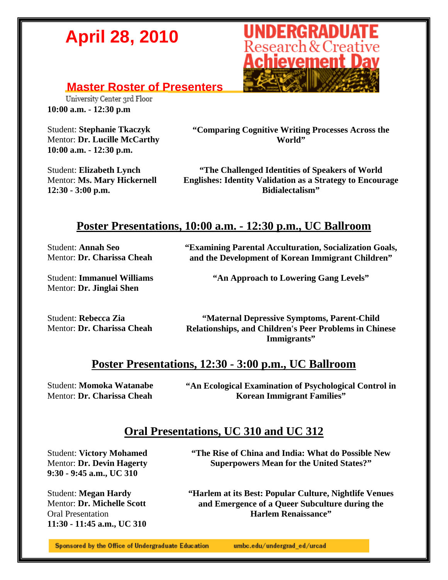### **Master Roster of Presenters**<br> **University Center 3rd Floor**

**10:00 a.m. - 12:30 p.m** 

Student: **Stephanie Tkaczyk**  Mentor: **Dr. Lucille McCarthy 10:00 a.m. - 12:30 p.m.** 

**"Comparing Cognitive Writing Processes Across the World"** 

Student: **Elizabeth Lynch**  Mentor: **Ms. Mary Hickernell 12:30 - 3:00 p.m.** 

**"The Challenged Identities of Speakers of World Englishes: Identity Validation as a Strategy to Encourage Bidialectalism"** 

#### **Poster Presentations, 10:00 a.m. - 12:30 p.m., UC Ballroom**

Student: **Annah Seo**  Mentor: **Dr. Charissa Cheah**  **"Examining Parental Acculturation, Socialization Goals, and the Development of Korean Immigrant Children"** 

Student: **Immanuel Williams** Mentor: **Dr. Jinglai Shen**

**"An Approach to Lowering Gang Levels"** 

Student: **Rebecca Zia** Mentor: **Dr. Charissa Cheah**

**"Maternal Depressive Symptoms, Parent-Child Relationships, and Children's Peer Problems in Chinese Immigrants"** 

#### **Poster Presentations, 12:30 - 3:00 p.m., UC Ballroom**

Student: **Momoka Watanabe**  Mentor: **Dr. Charissa Cheah** 

**"An Ecological Examination of Psychological Control in Korean Immigrant Families"** 

#### **Oral Presentations, UC 310 and UC 312**

Student: **Victory Mohamed** Mentor: **Dr. Devin Hagerty 9:30 - 9:45 a.m., UC 310** 

Student: **Megan Hardy** Mentor: **Dr. Michelle Scott** Oral Presentation **11:30 - 11:45 a.m., UC 310** 

**"The Rise of China and India: What do Possible New Superpowers Mean for the United States?"** 

**"Harlem at its Best: Popular Culture, Nightlife Venues and Emergence of a Queer Subculture during the Harlem Renaissance"** 

Sponsored by the Office of Undergraduate Education

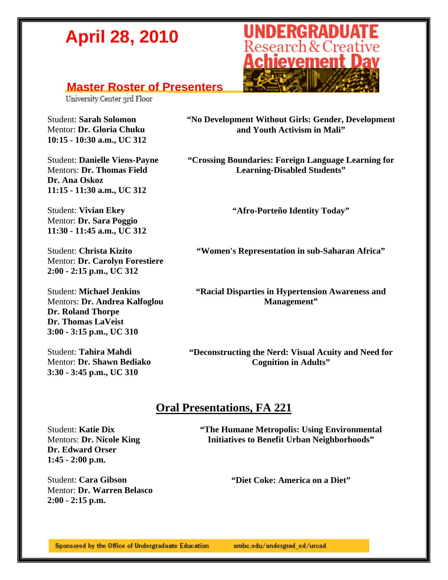#### **Master Roster of Presenters**

University Center 3rd Floor

Student: **Sarah Solomon** Mentor: **Dr. Gloria Chuku 10:15 - 10:30 a.m., UC 312** 

Student: **Danielle Viens-Payne** Mentors: **Dr. Thomas Field Dr. Ana Oskoz 11:15 - 11:30 a.m., UC 312** 

Student: **Vivian Ekey** Mentor: **Dr. Sara Poggio 11:30 - 11:45 a.m., UC 312**

Student: **Christa Kizito** Mentor: **Dr. Carolyn Forestiere 2:00 - 2:15 p.m., UC 312**

Student: **Michael Jenkins** Mentors: **Dr. Andrea Kalfoglou Dr. Roland Thorpe Dr. Thomas LaVeist 3:00 - 3:15 p.m., UC 310** 

Student: **Tahira Mahdi** Mentor: **Dr. Shawn Bediako 3:30 - 3:45 p.m., UC 310** 



**"No Development Without Girls: Gender, Development and Youth Activism in Mali"** 

**"Crossing Boundaries: Foreign Language Learning for Learning-Disabled Students"** 

**"Afro-Porteño Identity Today"** 

**"Women's Representation in sub-Saharan Africa"** 

**"Racial Disparties in Hypertension Awareness and Management"** 

**"Deconstructing the Nerd: Visual Acuity and Need for Cognition in Adults"** 

#### **Oral Presentations, FA 221**

Student: **Katie Dix**  Mentors: **Dr. Nicole King Dr. Edward Orser 1:45 - 2:00 p.m.** 

Student: **Cara Gibson**  Mentor: **Dr. Warren Belasco 2:00 - 2:15 p.m.** 

**"The Humane Metropolis: Using Environmental Initiatives to Benefit Urban Neighborhoods"** 

**"Diet Coke: America on a Diet"** 

Sponsored by the Office of Undergraduate Education umbc.edu/undergrad\_ed/urcad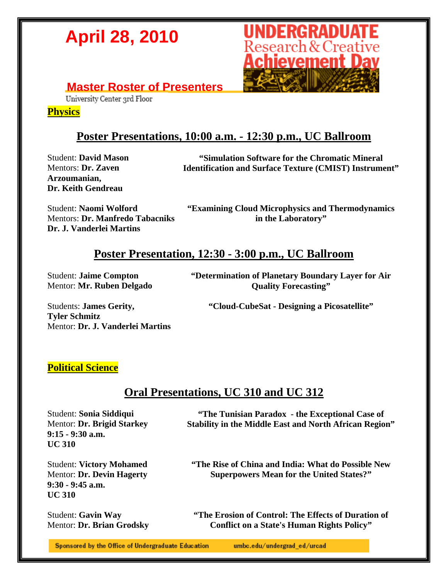

### **Master Roster of Presenters**<br> **University Center 3rd Floor**

**Physics**

#### **Poster Presentations, 10:00 a.m. - 12:30 p.m., UC Ballroom**

Student: **David Mason**  Mentors: **Dr. Zaven Arzoumanian, Dr. Keith Gendreau** 

**"Simulation Software for the Chromatic Mineral Identification and Surface Texture (CMIST) Instrument"**

Student: **Naomi Wolford**  Mentors: **Dr. Manfredo Tabacniks Dr. J. Vanderlei Martins** 

**"Examining Cloud Microphysics and Thermodynamics in the Laboratory"** 

#### **Poster Presentation, 12:30 - 3:00 p.m., UC Ballroom**

Student: **Jaime Compton**  Mentor: **Mr. Ruben Delgado**  **"Determination of Planetary Boundary Layer for Air Quality Forecasting"** 

**"Cloud-CubeSat - Designing a Picosatellite"** 

Students: **James Gerity, Tyler Schmitz**  Mentor: **Dr. J. Vanderlei Martins** 

#### **Political Science**

#### **Oral Presentations, UC 310 and UC 312**

Student: **Sonia Siddiqui**  Mentor: **Dr. Brigid Starkey 9:15 - 9:30 a.m. UC 310** 

**"The Tunisian Paradox - the Exceptional Case of Stability in the Middle East and North African Region"** 

Student: **Victory Mohamed**  Mentor: **Dr. Devin Hagerty 9:30 - 9:45 a.m. UC 310** 

Student: **Gavin Way**  Mentor: **Dr. Brian Grodsky**  **"The Rise of China and India: What do Possible New Superpowers Mean for the United States?"** 

**"The Erosion of Control: The Effects of Duration of Conflict on a State's Human Rights Policy"** 

Sponsored by the Office of Undergraduate Education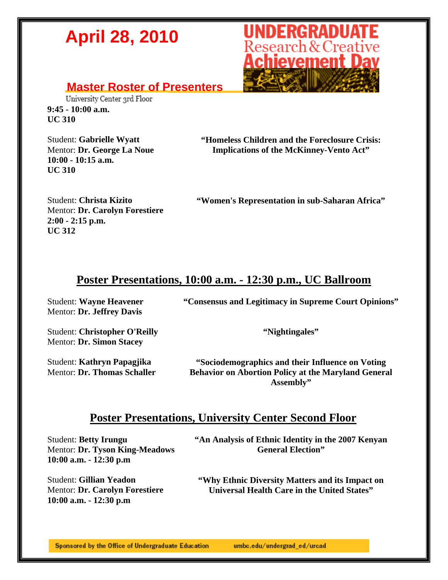

### **Master Roster of Presenters**<br> **University Center 3rd Floor**

**9:45 - 10:00 a.m. UC 310** 

Student: **Gabrielle Wyatt** Mentor: **Dr. George La Noue 10:00 - 10:15 a.m. UC 310** 

**"Homeless Children and the Foreclosure Crisis: Implications of the McKinney-Vento Act"** 

Student: **Christa Kizito**  Mentor: **Dr. Carolyn Forestiere 2:00 - 2:15 p.m. UC 312** 

**"Women's Representation in sub-Saharan Africa"** 

#### **Poster Presentations, 10:00 a.m. - 12:30 p.m., UC Ballroom**

Student: **Wayne Heavener**  Mentor: **Dr. Jeffrey Davis** 

**"Consensus and Legitimacy in Supreme Court Opinions"** 

Student: **Christopher O'Reilly**  Mentor: **Dr. Simon Stacey** 

Student: **Kathryn Papagjika**  Mentor: **Dr. Thomas Schaller** 

**"Nightingales"** 

**"Sociodemographics and their Influence on Voting Behavior on Abortion Policy at the Maryland General Assembly"** 

#### **Poster Presentations, University Center Second Floor**

Student: **Betty Irungu**  Mentor: **Dr. Tyson King-Meadows 10:00 a.m. - 12:30 p.m** 

Student: **Gillian Yeadon**  Mentor: **Dr. Carolyn Forestiere 10:00 a.m. - 12:30 p.m** 

**"An Analysis of Ethnic Identity in the 2007 Kenyan General Election"** 

**"Why Ethnic Diversity Matters and its Impact on Universal Health Care in the United States"**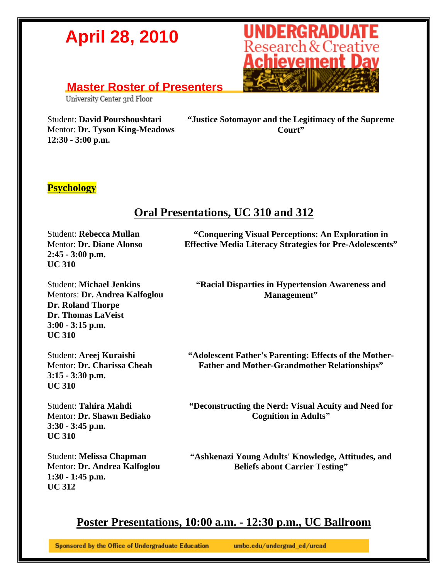#### **Master Roster of Presenters**

University Center 3rd Floor

Student: **David Pourshoushtari**  Mentor: **Dr. Tyson King-Meadows 12:30 - 3:00 p.m.** 

**"Justice Sotomayor and the Legitimacy of the Supreme Court"** 

#### **Psychology**

#### **Oral Presentations, UC 310 and 312**

Student: **Rebecca Mullan**  Mentor: **Dr. Diane Alonso 2:45 - 3:00 p.m. UC 310** 

**"Conquering Visual Perceptions: An Exploration in Effective Media Literacy Strategies for Pre-Adolescents"** 

**"Racial Disparties in Hypertension Awareness and Management"** 

Student: **Michael Jenkins**  Mentors: **Dr. Andrea Kalfoglou Dr. Roland Thorpe Dr. Thomas LaVeist 3:00 - 3:15 p.m. UC 310** 

Student: **Areej Kuraishi**  Mentor: **Dr. Charissa Cheah 3:15 - 3:30 p.m. UC 310** 

Student: **Tahira Mahdi**  Mentor: **Dr. Shawn Bediako 3:30 - 3:45 p.m. UC 310** 

Student: **Melissa Chapman**  Mentor: **Dr. Andrea Kalfoglou 1:30 - 1:45 p.m. UC 312** 

**"Adolescent Father's Parenting: Effects of the Mother-Father and Mother-Grandmother Relationships"** 

**"Deconstructing the Nerd: Visual Acuity and Need for Cognition in Adults"** 

**"Ashkenazi Young Adults' Knowledge, Attitudes, and Beliefs about Carrier Testing"** 

#### **Poster Presentations, 10:00 a.m. - 12:30 p.m., UC Ballroom**

Sponsored by the Office of Undergraduate Education

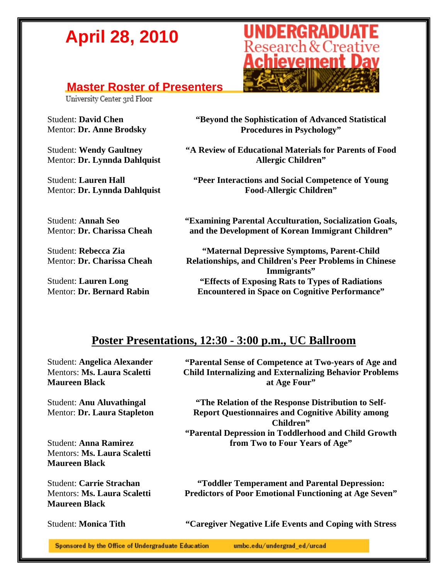#### **Master Roster of Presenters**

University Center 3rd Floor

Student: **David Chen**  Mentor: **Dr. Anne Brodsky** 

Student: **Wendy Gaultney**  Mentor: **Dr. Lynnda Dahlquist** 

Student: **Lauren Hall**  Mentor: **Dr. Lynnda Dahlquist** 

Student: **Annah Seo**  Mentor: **Dr. Charissa Cheah** 

Student: **Rebecca Zia**  Mentor: **Dr. Charissa Cheah** 

Student: **Lauren Long**  Mentor: **Dr. Bernard Rabin** 



**"Beyond the Sophistication of Advanced Statistical Procedures in Psychology"** 

**"A Review of Educational Materials for Parents of Food Allergic Children"** 

**"Peer Interactions and Social Competence of Young Food-Allergic Children"** 

**"Examining Parental Acculturation, Socialization Goals, and the Development of Korean Immigrant Children"** 

**"Maternal Depressive Symptoms, Parent-Child Relationships, and Children's Peer Problems in Chinese Immigrants" "Effects of Exposing Rats to Types of Radiations Encountered in Space on Cognitive Performance"** 

#### **Poster Presentations, 12:30 - 3:00 p.m., UC Ballroom**

Student: **Angelica Alexander**  Mentors: **Ms. Laura Scaletti Maureen Black** 

Student: **Anu Aluvathingal**  Mentor: **Dr. Laura Stapleton** 

Student: **Anna Ramirez**  Mentors: **Ms. Laura Scaletti Maureen Black** 

Student: **Carrie Strachan**  Mentors: **Ms. Laura Scaletti Maureen Black** 

**"Parental Sense of Competence at Two-years of Age and Child Internalizing and Externalizing Behavior Problems at Age Four"** 

**"The Relation of the Response Distribution to Self-Report Questionnaires and Cognitive Ability among Children" "Parental Depression in Toddlerhood and Child Growth from Two to Four Years of Age"** 

**"Toddler Temperament and Parental Depression: Predictors of Poor Emotional Functioning at Age Seven"** 

Student: **Monica Tith "Caregiver Negative Life Events and Coping with Stress** 

Sponsored by the Office of Undergraduate Education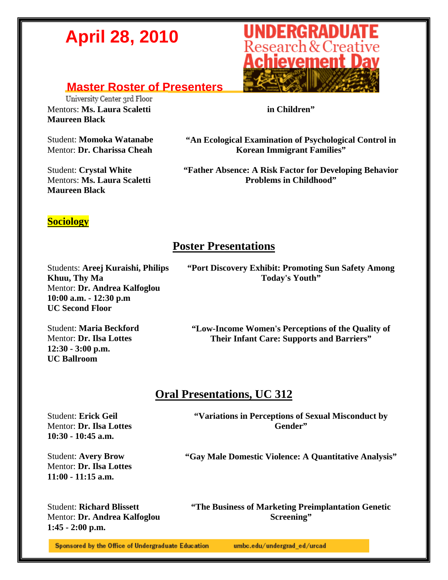#### **Master Roster of Presenters**

University Center 3rd Floor Mentors: **Ms. Laura Scaletti Maureen Black** 

Student: **Momoka Watanabe**  Mentor: **Dr. Charissa Cheah** 

Student: **Crystal White**  Mentors: **Ms. Laura Scaletti Maureen Black** 



**in Children"** 

**"An Ecological Examination of Psychological Control in Korean Immigrant Families"** 

**"Father Absence: A Risk Factor for Developing Behavior Problems in Childhood"** 

#### **Sociology**

#### **Poster Presentations**

Students: **Areej Kuraishi, Philips Khuu, Thy Ma**  Mentor: **Dr. Andrea Kalfoglou 10:00 a.m. - 12:30 p.m UC Second Floor** 

**"Port Discovery Exhibit: Promoting Sun Safety Among Today's Youth"** 

Student: **Maria Beckford**  Mentor: **Dr. Ilsa Lottes 12:30 - 3:00 p.m. UC Ballroom** 

**"Low-Income Women's Perceptions of the Quality of Their Infant Care: Supports and Barriers"** 

#### **Oral Presentations, UC 312**

Student: **Erick Geil**  Mentor: **Dr. Ilsa Lottes 10:30 - 10:45 a.m.** 

**"Variations in Perceptions of Sexual Misconduct by Gender"** 

Student: **Avery Brow**  Mentor: **Dr. Ilsa Lottes 11:00 - 11:15 a.m.** 

**"Gay Male Domestic Violence: A Quantitative Analysis"** 

Student: **Richard Blissett**  Mentor: **Dr. Andrea Kalfoglou 1:45 - 2:00 p.m.** 

**"The Business of Marketing Preimplantation Genetic Screening"** 

Sponsored by the Office of Undergraduate Education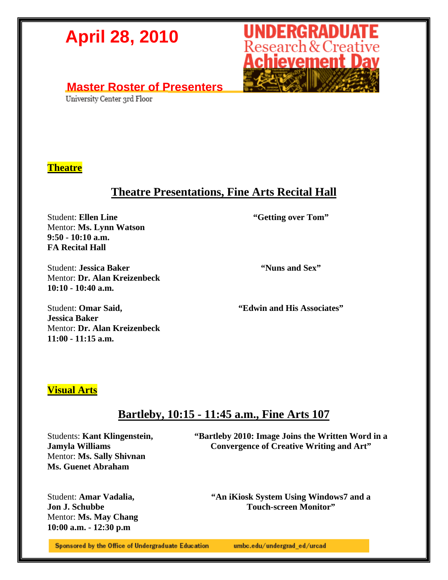### **Master Roster of Presenters**<br> **University Center 3rd Floor**

#### **Theatre**

#### **Theatre Presentations, Fine Arts Recital Hall**

Student: **Ellen Line** Mentor: **Ms. Lynn Watson 9:50 - 10:10 a.m. FA Recital Hall** 

Student: **Jessica Baker**  Mentor: **Dr. Alan Kreizenbeck 10:10 - 10:40 a.m.** 

**"Getting over Tom"** 

**UNDERGRADUATE**<br>Research & Creative<br>**Achievement Day** 

**"Nuns and Sex"** 

Student: **Omar Said, Jessica Baker**  Mentor: **Dr. Alan Kreizenbeck 11:00 - 11:15 a.m.** 

**"Edwin and His Associates"** 

#### **Visual Arts**

#### **Bartleby, 10:15 - 11:45 a.m., Fine Arts 107**

Students: **Kant Klingenstein, Jamyla Williams**  Mentor: **Ms. Sally Shivnan Ms. Guenet Abraham** 

**"Bartleby 2010: Image Joins the Written Word in a Convergence of Creative Writing and Art"** 

Student: **Amar Vadalia, Jon J. Schubbe**  Mentor: **Ms. May Chang 10:00 a.m. - 12:30 p.m** 

**"An iKiosk System Using Windows7 and a Touch-screen Monitor"** 

Sponsored by the Office of Undergraduate Education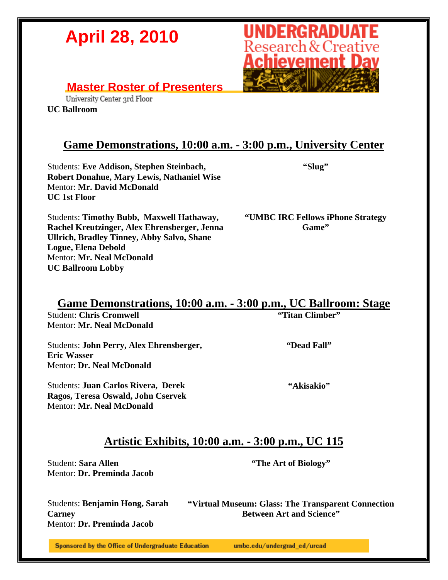#### **Master Roster of Presenters**

University Center 3rd Floor

**UC Ballroom** 

#### **Game Demonstrations, 10:00 a.m. - 3:00 p.m., University Center**

Students: **Eve Addison, Stephen Steinbach, Robert Donahue, Mary Lewis, Nathaniel Wise**  Mentor: **Mr. David McDonald UC 1st Floor** 

**"Slug"** 

Students: **Timothy Bubb, Maxwell Hathaway, Rachel Kreutzinger, Alex Ehrensberger, Jenna Ullrich, Bradley Tinney, Abby Salvo, Shane Logue, Elena Debold**  Mentor: **Mr. Neal McDonald UC Ballroom Lobby** 

**"UMBC IRC Fellows iPhone Strategy Game"** 

#### **Game Demonstrations, 10:00 a.m. - 3:00 p.m., UC Ballroom: Stage**

Student: **Chris Cromwell**  Mentor: **Mr. Neal McDonald** 

Students: **John Perry, Alex Ehrensberger, Eric Wasser**  Mentor: **Dr. Neal McDonald** 

Students: **Juan Carlos Rivera, Derek Ragos, Teresa Oswald, John Cservek**  Mentor: **Mr. Neal McDonald** 

**"Dead Fall"** 

**"Titan Climber"** 

**"Akisakio"** 

#### **Artistic Exhibits, 10:00 a.m. - 3:00 p.m., UC 115**

Student: **Sara Allen**  Mentor: **Dr. Preminda Jacob**  **"The Art of Biology"** 

Students: **Benjamin Hong, Sarah Carney**  Mentor: **Dr. Preminda Jacob** 

**"Virtual Museum: Glass: The Transparent Connection Between Art and Science"** 

Sponsored by the Office of Undergraduate Education